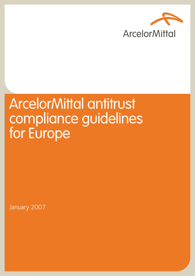

# ArcelorMittal antitrust compliance guidelines for Europe

January 2007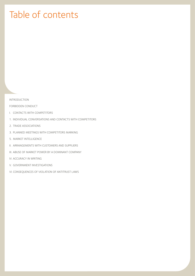# Table of contents

INTRODUCTION

FORBIDDEN CONDUCT

- I. CONTACTS WITH COMPETITORS
- 1. INDIVIDUAL CONVERSATIONS AND CONTACTS WITH COMPETITORS
- 2. TRADE ASSOCIATIONS
- 3. PLANNED MEETINGS WITH COMPETITORS MARKING
- 5. MARKET INTELLIGENCE
- II. ARRANGEMENTS WITH CUSTOMERS AND SUPPLIERS
- III. ABUSE OF MARKET POWER BY A DOMINANT COMPANY
- IV. ACCURACY IN WRITING
- V. GOVERNMENT INVESTIGATIONS
- VI. CONSEQUENCES OF VIOLATION OF ANTITRUST LAWS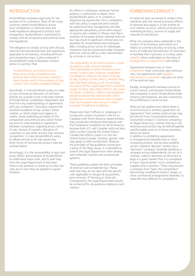# INTRODUCTION

ArcelorMittal competes vigorously for the business of its customers. Most of the many countries where ArcelorMittal is active have competition or antitrust laws and trade regulations designed to protect such competition. ArcelorMittal is committed to comply with all competition and antitrust laws and regulations.

The obligation to comply strictly with all local, national and international laws and regulations applicable to its business, including antitrust and competition laws, is also contained in ArcelorMittal's Code of Business Conduct where it is written that

"ArcelorMittal is committed to strict observance of the competition and antitrust laws ofthe countries in which it does business and to the avoidance of any conduct that couldbe considered illegal."

Specifically, it is ArcelorMittal's policy to make its own commercial decisions on the basis ofwhat we consider to be in the best interest of ArcelorMittal, completely independent and free from any understandings or agreements with any competitor. This policy requires the absolute avoidance of any conduct which violates, or which might even appear to violate, those underlying principles of the competition and antitrust laws which forbid any kind of understanding or agreement between competitors regarding prices, terms of sale, division of markets, allocation of customers or any other activity that restrains competition. It is also ArcelorMittal's policy to adhere strictly to all rules governing other forms of commercial conduct that are outlined below.

Accordingly, it is the responsibility of each and every officer and employee of ArcelorMittal to understand these rules, and to seek help from the Legal Department if and when there is any question or doubt as to what the rules are or how they are applied in a given situation.

No officer or employee, whatever his/her position, is authorized to depart from ArcelorMittal's policy or to condone a departure by anyone else. Strict compliance with this policy is expected and it should be understood that management will take appropriate disciplinary action with respect to anyone who violates it. Please note that a violation of European and/or national antitrust law may result in significant criminal and civil penalties for ArcelorMittal and individuals alike, including prison terms for individuals. Violations may be prosecuted under European antitrust rules as well as under national laws by criminal or civil actions.

#### The applicability of the antitrust laws in some situations is clear and unmistakable.

Their applicability in other situations is less certain. In each case, however, employees are obliged to observe the laws in the dayto-day conduct of their affairs, whether they have had legal training or not. Accordingly, the advice of the Legal Department should be sought in every case where there is any cause for doubt. In addition, officers and employees should be aware that national rules within Europe are in some instances more stringent than the European rules set out in these European Compliance Guidelines.

Please note that if officers or employees in Europe also conduct business in the US or Canadaor with North America-based entities, they should also familiarize themselves with the Compliance Guidelines for North America because both U.S. and Canadian antitrust laws reach conduct outside the United States/ Canada that affects trade in or into the United States/Canada. Similarly, specific rules may apply to other jurisdictions. Whereas the principles of the guidelines should give a sense of the likely issues, it is advisable to consult the Legal Department when dealing with unfamiliar markets and jurisdictional systems.

These guidelines explain the basic principles of antitrust and competition law. Please note that they do not deal with the specific rules applicable to mergers & acquisitions, joint ventures, IP licensing or State aid. Consequently, the Legal Department should be contacted for all questions relating to such matters.

# FORBIDDEN CONDUCT

EU antitrust laws are aimed at conduct that interferes with the normal economic effects of demand and supply in a free market on such matters as price, volume of production, marketing territory, sources of supply and channels of distribution.

What one company does unilaterally in the conduct of its business, particularly as it relates to commercial policy on pricing, other terms of trade and the selection of customers or business that it pursues, is in many cases unlawful when undertaken on the basis of arrangements or agreements with others.

Agreements between two or more competitors most commonly raise antitrust risks, but agreements with suppliers, distributors or customers may also run afoul of the antitrust laws.

Equally, arrangements between parties to a joint venture, and between ArcelorMittal and companies in which ArcelorMittal holds minority participations, are also covered by the prohibitions in antitrust law.

Antitrust law applies even where there is no formal (oral or written) agreement: An "agreement" that violates antitrust law may be inferred from circumstantial evidence (concerted conduct). Contracts containing an illegal clause (e.g., market sharing or too extensive exclusivity) may be held altogether unenforceable, even as to those provisions which are lawful.

In addition to prohibiting agreements or arrangements between two or more competing entities, the law also prohibits certain unilateral "abusive" conduct by a "dominant" company. Generally speaking, a company acting independently can act as it chooses, unless it becomes so dominant or large in a given market that it is considered to have "special duties" to its competitors, suppliers and customers. These may prevent a company from "beat-the competition" discounting, bundling of product ranges, or other commercial arrangements intended, to make life more difficult for competitors.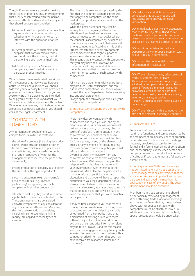Thus, in Europe there are broadly speaking three types of practices and/or arrangements that qualify as interfering with the normal economic effects of demand and supply and that should be absolutely avoided:

- (i) Contacts with competitors that result in agreements or concerted conduct, whether in writing or otherwise, that interfere with the operation of a free market;
- (ii) Arrangements with customers and suppliers that contain certain terms and conditions (for instance, market partitioning along national lines); and
- (iii) Conduct by which a "dominant" company abuses" market power in a particular product market.

What follows is a more detailed description of the conduct that may violate European antitrust laws, and guidelines you should follow in your everyday business practices to prevent or reduce antitrust risk for you and ArcelorMittal. The Guidelines are intended to help you identify issues and assist you in achieving complete compliance with the law. Whenever you have any doubt about whether a practice is antitrust compliant, you should consult the Legal Department.

## I. CONTACTS WITH **COMPETITORS**

Any agreement or arrangement with a competitor is unlawful if it relates to:

- the price of a product (including base price, extras, transportation charges or other terms of sale which relate to price, such as credit terms, cash or trade discounts, etc., and irrespective of whether the arrangement is to increase the price or to decrease it);
- limiting production or capacity (as to either the amount or the type of product);
- allocating customers (e.g., bid-rigging), or sales territories (e.g., market partitioning), or agreeing on which company will sell what product; or
- refusals to deal (e.g., boycotts) with either a potential customer or a potential supplier. These arrangements are considered unlawful irrespective of any consideration of justificationsor efficiencies. Moreover, the most severe antitrust penalties, including in some countries, criminal liability, are applied to these types of violations.

The risks in this area are complicated by the fact that the common economic pressures that apply to all competitors in the same market often produce parallel conduct in the marketplace.

While this parallel conduct may well be entirely lawful, it regularly attracts the attention of antitrust enforcers and may cause an investigation in particular where the conduct is accompanied by evidence of communications and contacts between and among competitors. Accordingly, it is of the utmost importance to avoid any contacts with competitors that might support an inference or allegations of collusion. This means that any contact with competitors that you may have should always be conducted as if they were at all times in thepublic view so that no one can question the intent or outcome of such contact with competitors.

Joint venture agreements with competitors may produce useful efficiencies, but can also restrain competition. You should always consult the Legal Department before entering into any such agreement. Always apply the following principles in your contacts with competitors:

#### 1. Individual Conversations and Contacts with **Competitors**

Avoid individual conversations with competitors entirely if you can, and by no means ever discuss or disclose commercial policy such as pricing, customers, plans or terms of trade with a competitor. If in any conversation, your competitor seeks to discuss current prices or enquire into plans for future prices, or any of the elements of prices, or any element of strategy relating to prices and/or commercial policy you must refuse to discuss that subject. Divorce yourself immediately from any conversation that veers towards any of the subjects above. Walk away or hang up the telephone if that is what it takes to end your involvement (even listening) in the discussions. Make clear to the participants that you refuse to participate in such discussion and that you will have to report the discussion to your legal department. If you allow yourself to hear such a conversation you may be required, at a later date, to testify that it did take place and it will be hard to avoid the implication that you were an active participant in it.

It may at times appear to you that essential competitive information as to existing price structures and commercial policy can only be obtained from a competitor, and that a discussion of existing prices with them is therefore justified. Don't ever do it: An exchange of current price information alone may be found unlawful, and for this reason you must not engage in, or reply to, any such inquiries. For example, do not confirm with a competitor price information that you may have received from another source (i.e., a customer).

DO make it clear at all times to your competitor that you cannot and will not discuss competitively sensitive information.

DO immediately object to any discussions that relate to subjects outlined above; ceases, and when you are comfortable the discussion has resumed a proper direction.

DO report immediately to the Legal Department any improper discussion with, or overtures by, a competitor.

DO protect the confidential business information of ArcelorMittal.

DON'T ever discuss prices, other terms of • individual company prices, price changes, bear on price, costs, production, capacity, inventory or sales; as well as

• industry pricing policies, pricing levels or price changes.

DON'T even discuss with a competitor the state of the market in which you operate.

#### 2. Trade Associations

Trade associations perform useful and legitimate functions, and can be supported by the members of an industry under appropriate circumstances. Trade association meetings, however, provide opportunities for both formal and informal gatherings of competitors and, consequently, expose each person and company present to the risk of an inference of collusion if such gatherings are followed by parallel action.

Accordingly, ArcelorMittal employees are not permitted to join any trade association unless management has determined that the association serves an important and proper purpose and approved the membership application. In case of any doubt, the Legal Department should be consulted.

Membership in trade associations should be periodically reviewed by management. When attending trade association meetings sanctioned by ArcelorMittal, the quidelines above with respect to contacts with competitors must be strictly followed. In addition, in the trade association context, special precautions should be undertaken: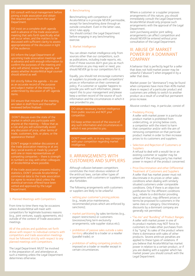DO consult with local management before joining a trade association and obtain the required approval from the Legal Department.

DO insist on a complete draft agenda well in advance of the trade association meeting that sets forth specifically what will occur when, and the matters to be discussed with sufficient clarity to assess appropriateness of the discussion in light of the audience.

DO inform the Legal Department of upcoming trade association meetings well in advance and with enough information to who will attend, review the agenda, and assess whether ArcelorMittal legal counsel should attend as well.

DO strictly follow the agenda – its use as an accurate record of the purpose and subject matter of the meeting is undermined by discussion of off-agenda items.

are taken in draft form and thereafter reviewed before finalized.

DON'T discuss even the state of the market in which you participate with a rule and you will substantially avoid any discussion of price, other terms of appearance thereof.

DON'T engage in sidebar discussions at the trade association meeting or at anc illary social events or meals by yourself competing companies – there is strength in numbers so stay with other colleagues

If the trade association prepares industry statistics, DON'T provide ArcelorMittal commercial data to the trade association (or agree to receive data) unless the statistical services offered have been vetted and approved by the Legal **Department** 

#### 3. Planned Meetings with Competitors

From time to time there may be occasions where ArcelorMittal will meet with competitors for legitimate business reasons (e.g., joint ventures, supply agreements, etc) outside of the context of trade association meetings.

#### All of the policies and guidelines set forth above with respect to individual contacts with competitors and trade association meetings must be followed strictly with respect to any planned meetings with competitors.

The Legal Department MUST be involved in the preparation of, and attendance at, such a meeting unless the Legal Department determines otherwise.

#### 4. Benchmarking

Benchmarking with competitors of ArcelorMittal is in principle NEVER permissible, except for benchmarking done through an outside consultant. Even in the latter case, strict rules apply.

You should contact the Legal Department before engaging in any benchmarking exercise.

#### 5. Market Intelligence

You can obtain market intelligence only from sources other than our competitors, such as publications, including trade reports, etc. Even if those sources don't give you as much information as you may want or need, you should NEVER go to our competitors for it.

Equally, you should not encourage customers or suppliers to provide you with competitors' prices or information on their commercial policy. If a customer or supplier happens to provide you with such information, please report this to your management and please keep a written record of the source of such information and the circumstances in which it was provided to you.

#### DO obtain necessary market intelligence from public sources and NOT your competitor.

any such information and circumstances in

DON'T meet with, or in any way correspond with your competitor regarding market intelligence.

# II. ARRANGEMENTS WITH CUSTOMERS AND SUPPLIERS

Although collusion between competitors constitutes the most obvious violation of the antitrust laws, certain other types of arrangements with customers or suppliers are also forbidden.

The following arrangements with customers or suppliers are likely to be unlawful:

- setting your customer's pricing policies (e.g., resale price maintenance, recommended prices which are enforced by sanctions);
- market partitioning by sales territories (e.g., export restrictions) or customers (excessive/long term exclusivity arrangements; sole supplier status etc);
- prohibition of passive sales outside a sales territory allocated to a trader or a reseller (parallel trade); or
- prohibition of selling competing products imposed on a trader or reseller except in certain circumstances.

Where a customer or a supplier proposes arrangements of this nature, you should immediately consult the Legal Department. ArcelorMittal should only propose such arrangements with the approval of the Legal Department.

Joint purchasing and/or joint selling arrangements can affect competition and should NEVER be entered without prior consultation of the Legal Department.

# III. ABUSE OF MARKET POWER BY A DOMINANT **COMPANY**

A behavior that is perfectly legal for a seller that does not hold market power may be unlawful ("abusive") when engaged in by a seller that does.

Market power (or "dominance") may be found when companies have more than 40% market share in respect of a particular product and customers are unlikely to switch to another product as a result of a small but permanent price increase.

Abusive conduct may, in particular, consist of:

#### • Predatory Pricing

A seller with market power in a particular product market is prohibited from undercutting, or pricing below costs, a competitor with the intent to harm that competitor and/or with the aim of removing competition on that particular product market in order to then increase prices to its customers and suppliers.

• Selection and Rejection of Customers or Suppliers

A refusal to deal with a would-be or an existing customer or supplier may be unlawful if the refusing party has market power in respect of the product concerned.

• Price Discrimination and other Differential Treatment of Customers and Suppliers A seller that has market power must not discriminate in its prices or other sales conditions when dealing with similarly situated customers under comparable conditions. Only if there is an objective justification for the different conditions (e.g., rebate to a distributor providing special service), may different prices or terms be proposed to customers in the same class or category. Discriminatory discounts by a dominant company are generally not permitted.

• "Tie-Ins" and "Bundling" of Product Ranges A seller with market power in one of its product markets may NOT force its customers to make other purchases from it by "tying" its sales of the product where there is dominance with sales of other products. Severe antitrust penalties are applied to these types of violations. If you believe that ArcelorMittal has market power in relation to a certain product, or if you are dealing with a supplier which has market power you should consult with the Legal Department.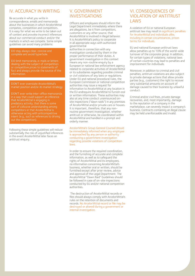# IV. ACCURACY IN WRITING

Be accurate in what you write in correspondence, emails and memoranda about the businesses in which ArcelorMittal competes, competition and competitors. It is easy for what we write to be taken out of context and provoke incorrect inferences about our commercial conduct and/or the markets in which we compete. Some simple guidelines can avoid many problems:

#### DO stay always clear, concise and complete and avoid hyperbole.

dealing with the subject of competition or competitive prices to statements of fact and always provide the source of the information.

#### DON'T ever overstate ArcelorMittal's market position and/or its market strategy.

DON'T ever write inter-office memoranda in a way that could support an inference that ArcelorMittal is engaging in sort of collusive understanding among competitors or that ArcelorMittal is intent (e.g., such as references to driving out the competition).

Following these simple guidelines will reduce substantially the risk of unjustified inferences in the event ArcelorMittal later faces an antitrust enquiry.

# V. GOVERNMENT INVESTIGATIONS

Officers and employees should inform the Legal Department immediately where there are allegations, be it from competitors, customers or any other source, that ArcelorMittal is involved in illegal behavior. It is ArcelorMittal's policy to cooperate in all appropriate ways with authorized governmental

authorities in connection with any investigation conducted by them in the proper performance of their duties. A government investigation in this context means any non-routine enquiry by a European or national law enforcement agency related to corporate activities of ArcelorMittal or its subsidiaries regarding possible criminal or civil violations of any laws or regulations. Under EU and national procedural rules, the European Commission or national competition authorities may issue a request for information to ArcelorMittal at any location in the EU andrequire ArcelorMittal to furnish oral or written information. These authorities may also at any time conduct unannounced onsite inspections ("dawn raids") in any premises of ArcelorMittal and/or private cars or houses. It is important, therefore, that any nonroutine government investigation, whether antitrust or otherwise, be coordinated within ArcelorMittal and handled in a prompt and orderly manner.

ArcelorMittal's Group General Counsel should be immediately informed when any employee is approached by any person or authority conducting a government investigation regarding possible violations of competition laws.

In order to ensure the required coordination, and the furnishing of accurate and complete information, as well as to safeguard the rights of ArcelorMittal and its employees, no information concerning ArcelorMittal's business, whether oral or written, should be furnished except after prior review, advice and approval of the Legal Department. The ArcelorMittal "Dawn Raid" Guidelines should be followed in case of on-site inspections conducted by EU and/or national competition authorities.

 The destruction of ArcelorMittal records or files should always comply with ArcelorMittal's rules on the retention of documents and records. No ArcelorMittal record or file may be destroyed or altered during a government or internal investigation.

# VI. CONSEQUENCES OF VIOLATION OF ANTITRUST **LAWS**

A violation of EU or national European antitrust law may result in significant penalties for ArcelorMittal and individuals alike, including in certain circumstances, prison terms for individuals.

EU and national European antitrust laws allow penalties up to 10% of the world-wide turnover of the corporate group. In addition, for certain types of violations, national laws of certain countries may lead to penalties and imprisonment for individuals.

Moreover, in addition to criminal and civil penalties, antitrust violations are also subject to private damage actions that allow private parties (e.g., customers) the right to recover very substantial amounts on account of damage caused to their business by unlawful conduct.

Criminal and/or civil fines, private damage recoveries, and, most importantly, damage to the reputation of a company in the marketplace, can severely impact a company's business. Contracts containing an illegal clause may be held unenforceable and invalid.